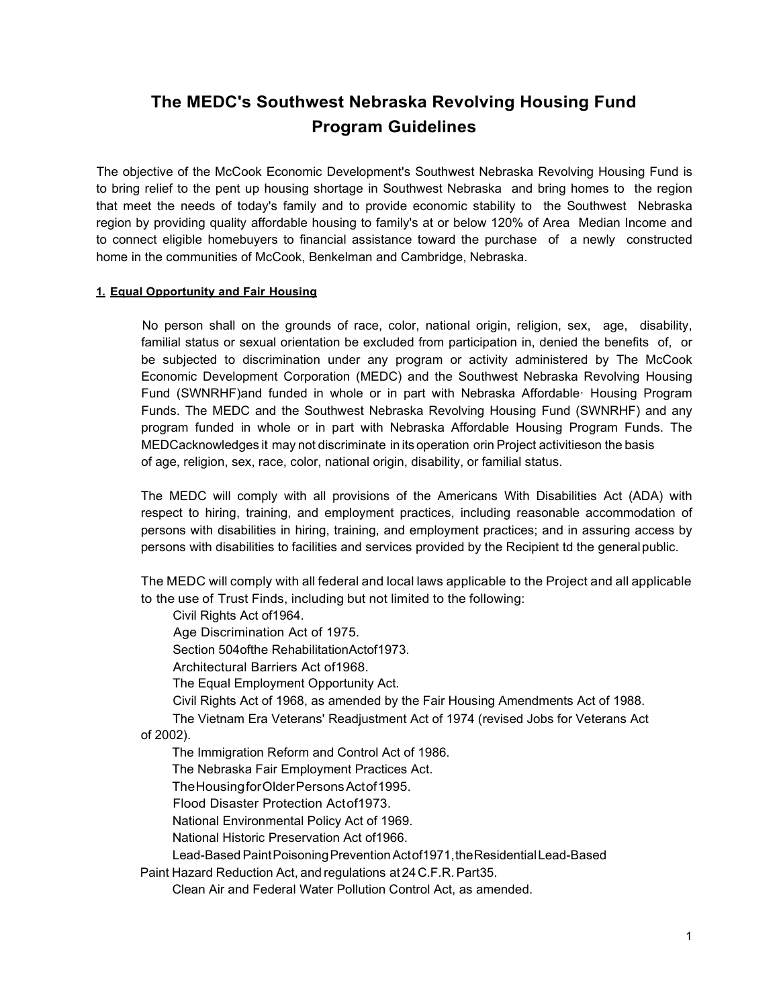# **The MEDC's Southwest Nebraska Revolving Housing Fund Program Guidelines**

The objective of the McCook Economic Development's Southwest Nebraska Revolving Housing Fund is to bring relief to the pent up housing shortage in Southwest Nebraska and bring homes to the region that meet the needs of today's family and to provide economic stability to the Southwest Nebraska region by providing quality affordable housing to family's at or below 120% of Area Median Income and to connect eligible homebuyers to financial assistance toward the purchase of a newly constructed home in the communities of McCook, Benkelman and Cambridge, Nebraska.

## **1. Equal Opportunity and Fair Housing**

No person shall on the grounds of race, color, national origin, religion, sex, age, disability, familial status or sexual orientation be excluded from participation in, denied the benefits of, or be subjected to discrimination under any program or activity administered by The McCook Economic Development Corporation (MEDC) and the Southwest Nebraska Revolving Housing Fund (SWNRHF)and funded in whole or in part with Nebraska Affordable· Housing Program Funds. The MEDC and the Southwest Nebraska Revolving Housing Fund (SWNRHF) and any program funded in whole or in part with Nebraska Affordable Housing Program Funds. The MEDCacknowledges it may not discriminate in itsoperation orin Project activitieson the basis of age, religion, sex, race, color, national origin, disability, or familial status.

The MEDC will comply with all provisions of the Americans With Disabilities Act (ADA) with respect to hiring, training, and employment practices, including reasonable accommodation of persons with disabilities in hiring, training, and employment practices; and in assuring access by persons with disabilities to facilities and services provided by the Recipient td the generalpublic.

The MEDC will comply with all federal and local laws applicable to the Project and all applicable to the use of Trust Finds, including but not limited to the following:

Civil Rights Act of1964.

Age Discrimination Act of 1975.

Section 504ofthe RehabilitationActof1973.

Architectural Barriers Act of1968.

The Equal Employment Opportunity Act.

Civil Rights Act of 1968, as amended by the Fair Housing Amendments Act of 1988.

The Vietnam Era Veterans' Readjustment Act of 1974 (revised Jobs for Veterans Act of 2002).

The Immigration Reform and Control Act of 1986.

The Nebraska Fair Employment Practices Act.

TheHousingforOlderPersonsActof1995.

Flood Disaster Protection Actof1973.

National Environmental Policy Act of 1969.

National Historic Preservation Act of1966.

Lead-Based Paint Poisoning Prevention Actof1971, the Residential Lead-Based

Paint Hazard Reduction Act, and regulations at 24C.F.R.Part35.

Clean Air and Federal Water Pollution Control Act, as amended.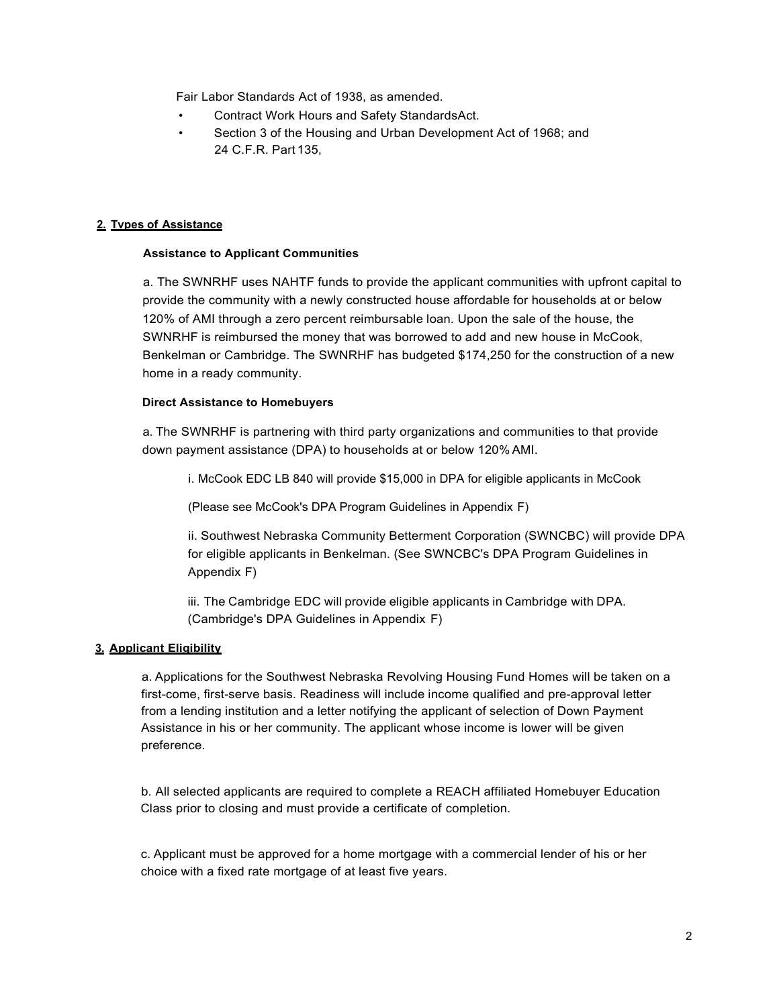Fair Labor Standards Act of 1938, as amended.

- Contract Work Hours and Safety StandardsAct.
- Section 3 of the Housing and Urban Development Act of 1968; and 24 C.F.R. Part 135,

### **2. Tvpes of Assistance**

#### **Assistance to Applicant Communities**

a. The SWNRHF uses NAHTF funds to provide the applicant communities with upfront capital to provide the community with a newly constructed house affordable for households at or below 120% of AMI through a zero percent reimbursable loan. Upon the sale of the house, the SWNRHF is reimbursed the money that was borrowed to add and new house in McCook, Benkelman or Cambridge. The SWNRHF has budgeted \$174,250 for the construction of a new home in a ready community.

## **Direct Assistance to Homebuyers**

a. The SWNRHF is partnering with third party organizations and communities to that provide down payment assistance (DPA) to households at or below 120% AMI.

i. McCook EDC LB 840 will provide \$15,000 in DPA for eligible applicants in McCook

(Please see McCook's DPA Program Guidelines in Appendix F)

ii. Southwest Nebraska Community Betterment Corporation (SWNCBC) will provide DPA for eligible applicants in Benkelman. (See SWNCBC's DPA Program Guidelines in Appendix F)

iii. The Cambridge EDC will provide eligible applicants in Cambridge with DPA. (Cambridge's DPA Guidelines in Appendix F)

# **3. Applicant Eligibility**

a. Applications for the Southwest Nebraska Revolving Housing Fund Homes will be taken on a first-come, first-serve basis. Readiness will include income qualified and pre-approval letter from a lending institution and a letter notifying the applicant of selection of Down Payment Assistance in his or her community. The applicant whose income is lower will be given preference.

b. All selected applicants are required to complete a REACH affiliated Homebuyer Education Class prior to closing and must provide a certificate of completion.

c. Applicant must be approved for a home mortgage with a commercial lender of his or her choice with a fixed rate mortgage of at least five years.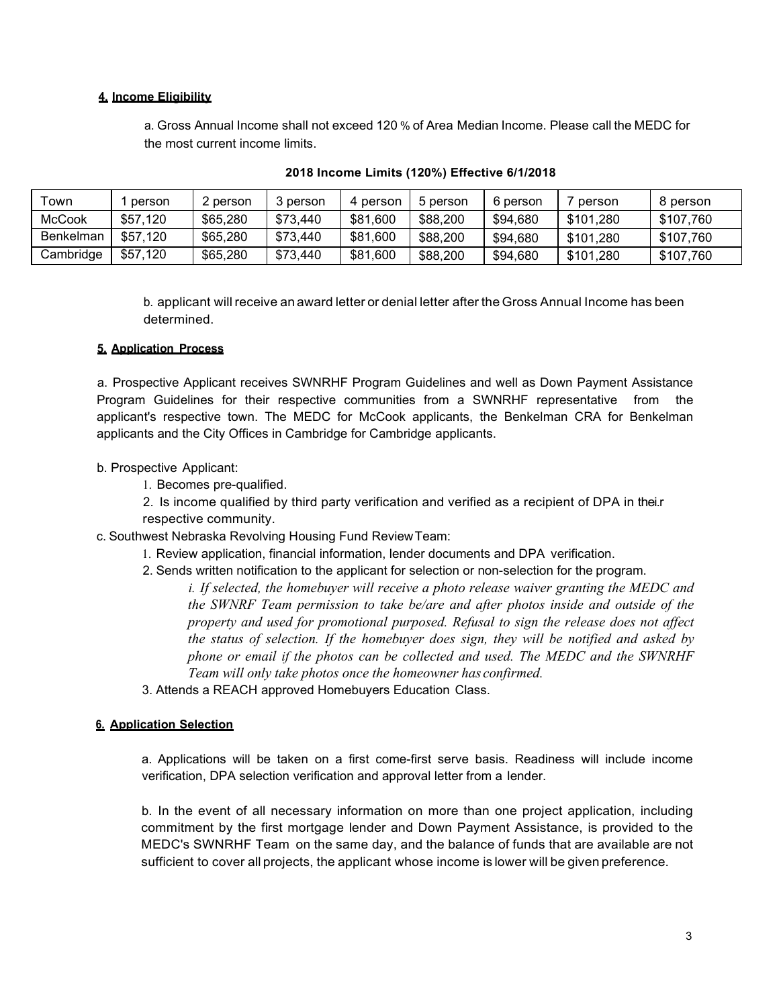## **4. Income Eligibility**

a. Gross Annual Income shall not exceed 120 % of Area Median Income. Please call the MEDC for the most current income limits.

| ™own             | person   | 2 person | berson { | 4 person | 5 person | 6 person | person    | 8 person  |
|------------------|----------|----------|----------|----------|----------|----------|-----------|-----------|
| <b>McCook</b>    | \$57.120 | \$65,280 | \$73.440 | \$81,600 | \$88,200 | \$94.680 | \$101.280 | \$107,760 |
| <b>Benkelman</b> | \$57.120 | \$65,280 | \$73.440 | \$81,600 | \$88,200 | \$94.680 | \$101.280 | \$107.760 |
| Cambridge        | \$57.120 | \$65,280 | \$73.440 | \$81,600 | \$88,200 | \$94.680 | \$101.280 | \$107.760 |

### **2018 Income Limits (120%) Effective 6/1/2018**

b. applicant will receive an award letter or denial letter after the Gross Annual Income has been determined.

#### **5. Application Process**

a. Prospective Applicant receives SWNRHF Program Guidelines and well as Down Payment Assistance Program Guidelines for their respective communities from a SWNRHF representative from the applicant's respective town. The MEDC for McCook applicants, the Benkelman CRA for Benkelman applicants and the City Offices in Cambridge for Cambridge applicants.

## b. Prospective Applicant:

1. Becomes pre-qualified.

2. Is income qualified by third party verification and verified as a recipient of DPA in thei.r respective community.

- c. Southwest Nebraska Revolving Housing Fund ReviewTeam:
	- 1. Review application, financial information, lender documents and DPA verification.
	- 2. Sends written notification to the applicant for selection or non-selection for the program.

*i. If selected, the homebuyer will receive a photo release waiver granting the MEDC and the SWNRF Team permission to take be/are and after photos inside and outside of the property and used for promotional purposed. Refusal to sign the release does not affect the status of selection. If the homebuyer does sign, they will be notified and asked by phone or email if the photos can be collected and used. The MEDC and the SWNRHF Team will only take photos once the homeowner has confirmed.*

3. Attends a REACH approved Homebuyers Education Class.

#### **6. Application Selection**

a. Applications will be taken on a first come-first serve basis. Readiness will include income verification, DPA selection verification and approval letter from a lender.

b. In the event of all necessary information on more than one project application, including commitment by the first mortgage lender and Down Payment Assistance, is provided to the MEDC's SWNRHF Team on the same day, and the balance of funds that are available are not sufficient to cover all projects, the applicant whose income is lower will be given preference.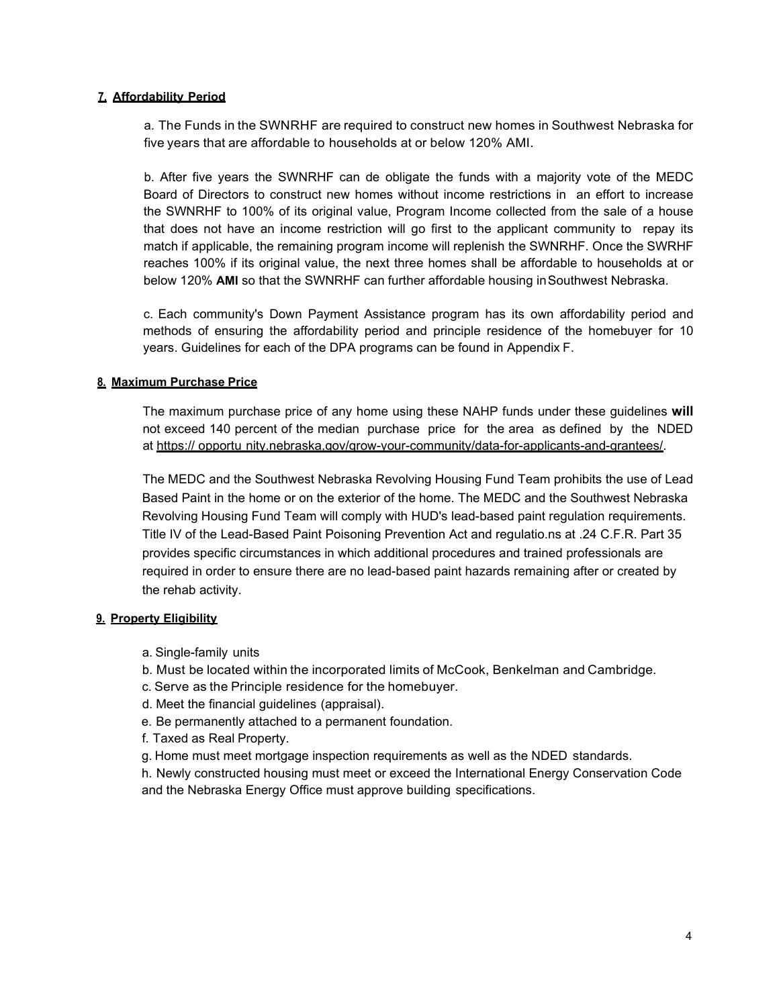## **7. Affordability Period**

a. The Funds in the SWNRHF are required to construct new homes in Southwest Nebraska for five years that are affordable to households at or below 120% AMI.

b. After five years the SWNRHF can de obligate the funds with a majority vote of the MEDC Board of Directors to construct new homes without income restrictions in an effort to increase the SWNRHF to 100% of its original value, Program Income collected from the sale of a house that does not have an income restriction will go first to the applicant community to repay its match if applicable, the remaining program income will replenish the SWNRHF. Once the SWRHF reaches 100% if its original value, the next three homes shall be affordable to households at or below 120% **AMI** so that the SWNRHF can further affordable housing inSouthwest Nebraska.

c. Each community's Down Payment Assistance program has its own affordability period and methods of ensuring the affordability period and principle residence of the homebuyer for 10 years. Guidelines for each of the DPA programs can be found in Appendix F.

## **8. Maximum Purchase Price**

The maximum purchase price of any home using these NAHP funds under these guidelines **will**  not exceed 140 percent of the median purchase price for the area as defined by the NDED at https:// opportu nity.nebraska,gov/grow-your-community/data-for-applicants-and-grantees/.

The MEDC and the Southwest Nebraska Revolving Housing Fund Team prohibits the use of Lead Based Paint in the home or on the exterior of the home. The MEDC and the Southwest Nebraska Revolving Housing Fund Team will comply with HUD's lead-based paint regulation requirements. Title IV of the Lead-Based Paint Poisoning Prevention Act and regulatio.ns at .24 C.F.R. Part 35 provides specific circumstances in which additional procedures and trained professionals are required in order to ensure there are no lead-based paint hazards remaining after or created by the rehab activity.

#### **9. Property Eligibility**

- a. Single-family units
- b. Must be located within the incorporated limits of McCook, Benkelman and Cambridge.
- c. Serve as the Principle residence for the homebuyer.
- d. Meet the financial guidelines (appraisal).
- e. Be permanently attached to a permanent foundation.
- f. Taxed as Real Property.
- g. Home must meet mortgage inspection requirements as well as the NDED standards.

h. Newly constructed housing must meet or exceed the International Energy Conservation Code and the Nebraska Energy Office must approve building specifications.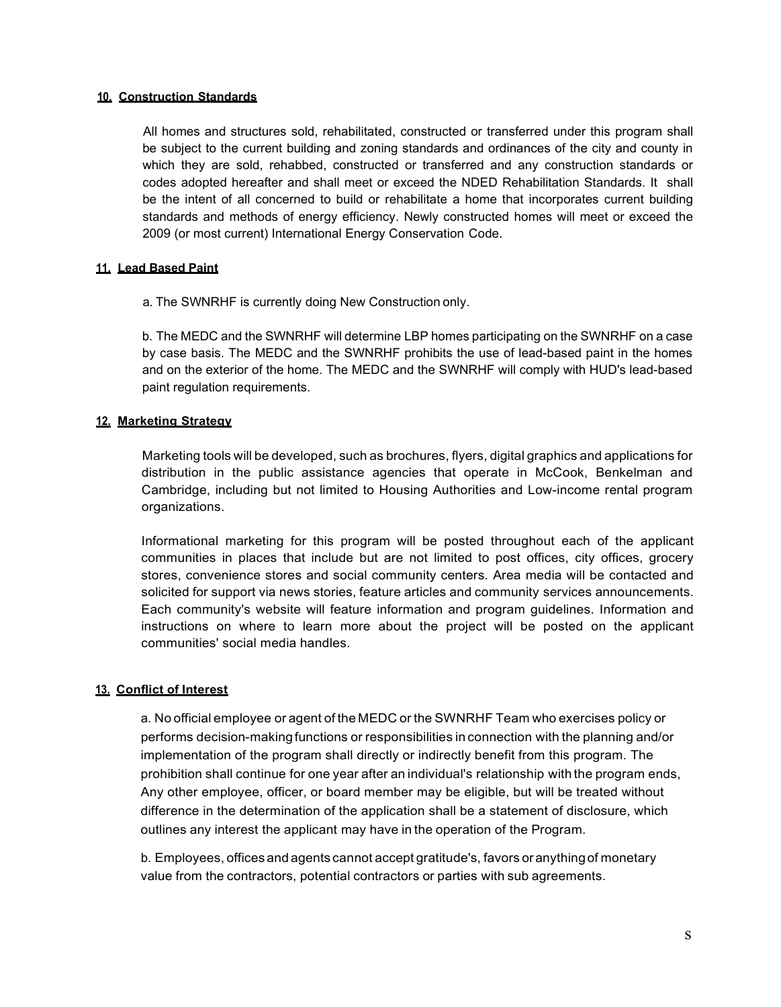### **10. Construction Standards**

All homes and structures sold, rehabilitated, constructed or transferred under this program shall be subject to the current building and zoning standards and ordinances of the city and county in which they are sold, rehabbed, constructed or transferred and any construction standards or codes adopted hereafter and shall meet or exceed the NDED Rehabilitation Standards. It shall be the intent of all concerned to build or rehabilitate a home that incorporates current building standards and methods of energy efficiency. Newly constructed homes will meet or exceed the 2009 (or most current) International Energy Conservation Code.

## **11. Lead Based Paint**

a. The SWNRHF is currently doing New Construction only.

b. The MEDC and the SWNRHF will determine LBP homes participating on the SWNRHF on a case by case basis. The MEDC and the SWNRHF prohibits the use of lead-based paint in the homes and on the exterior of the home. The MEDC and the SWNRHF will comply with HUD's lead-based paint regulation requirements.

## **12. Marketing Strategy**

Marketing tools will be developed, such as brochures, flyers, digital graphics and applications for distribution in the public assistance agencies that operate in McCook, Benkelman and Cambridge, including but not limited to Housing Authorities and Low-income rental program organizations.

Informational marketing for this program will be posted throughout each of the applicant communities in places that include but are not limited to post offices, city offices, grocery stores, convenience stores and social community centers. Area media will be contacted and solicited for support via news stories, feature articles and community services announcements. Each community's website will feature information and program guidelines. Information and instructions on where to learn more about the project will be posted on the applicant communities' social media handles.

# **13. Conflict of Interest**

a. No official employee or agent of the MEDC or the SWNRHF Team who exercises policy or performs decision-makingfunctions or responsibilities in connection with the planning and/or implementation of the program shall directly or indirectly benefit from this program. The prohibition shall continue for one year after an individual's relationship with the program ends, Any other employee, officer, or board member may be eligible, but will be treated without difference in the determination of the application shall be a statement of disclosure, which outlines any interest the applicant may have in the operation of the Program.

b. Employees, offices and agents cannot accept gratitude's, favors oranythingof monetary value from the contractors, potential contractors or parties with sub agreements.